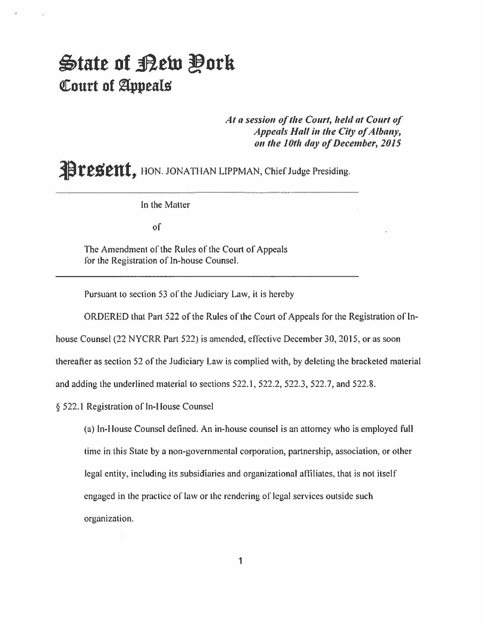## ~tate **of ..flew !lork Court of Appeals**

At a session of the Court, held at Court of *Appeals Hall in the City of Albany, On the 10th day of December, 2015* 

**Present**, HON. JONATHAN LIPPMAN, Chief Judge Presiding.

In the Matter

of

The Amendment of the Rules of the Court of Appeals for the Registration of In-house Counsel.

Pursuant to section 53 of the Judiciary Law, it is hereby

ORDERED that Part 522 of the Rules of the Court of Appeals for the Registration of In-

house Counsel (22 NYCRR Part 522) is amended, effective December 30, 2015, or as soon

thereafter as section 52 of the Judiciary Law is complied with, by deleting the bracketed material

and adding the underlined material to sections 522.1, 522.2, 522.3, 522.7, and 522.8.

§ 522.1 Registration of In-House Counsel

(a) In-House Counsel defined. An in-house counsel is an attorney who is employed full time in this State by a non-governmental corporation, partnership, association, or other legal entity, including its subsidiaries and organizational affiliates, that is not itself engaged in the practice of law or the rendering of legal services outside such organization.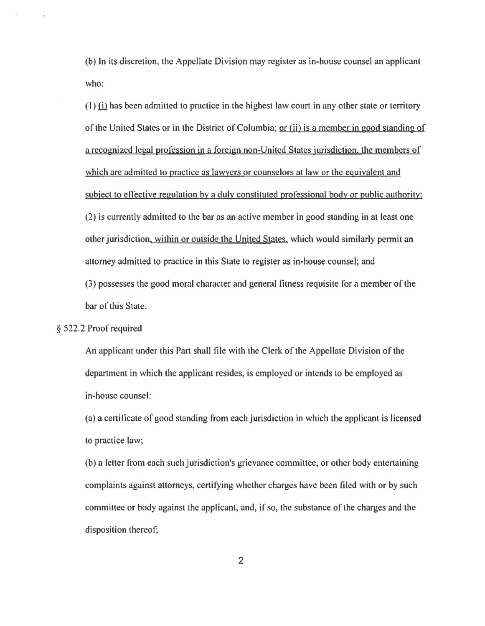(b) **In** its discretion, the Appellate Division may register as in-house counsel an applicant who:

 $(1)$  (i) has been admitted to practice in the highest law court in any other state or territory of the United States or in the District of Columbia; or Iii) is a member jn good standing of a recognized legal profession in a foreign non-United States jurisdiction. the members of which are admitted to practice as lawyers or counselors at law or the equivalent and subject to cfiective regulation by a duly constituted professional body or public authority: (2) is currently admitted 10 the bar as an active member in good standing in at least one other jurisdiction. within or outside the United States. which would similarly permit an attorney admitted to practice in this State to register as in-house counsel; and (3) possesses the good moral character and general fitness requisite for a member of the bar of this State.

## § 522.2 Proof required

An applicant under this Part shall file with the Clerk of the Appellate Division of the department in which the applicant resides, is employed or intends to be employed as in-house counsel:

(a) a certificate of good standing from each jurisdiction in which the applicant is licensed to practice law;

(b) a leller from each such jurisdiction's grievance committee, or other body entertaining complaints against attorneys, certifying whether charges have been filed with or by such committee or body against the applicant, and, if so, the substance of the charges and the disposition thereof;

2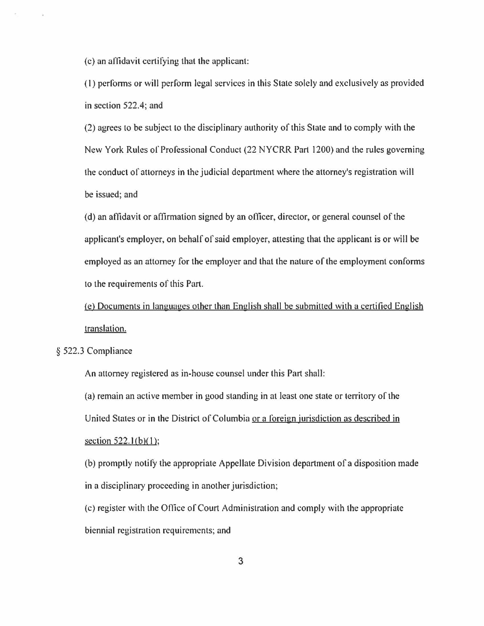(c) an affidavit certifying that the applicant:

(I) perlonns or will perfonn legal services in this State solely and exclusively as provided in section 522.4; and

(2) agrees to be subject to the disciplinary authority of this State and to comply with the New York Rules of Professional Conduct (22 NYCRR Part 1200) and the rules governing the conduct of attorneys in the judicial department where the attorney's registration will be issued; and

(d) an affidavit or affirmation signed by an officer, director, or general counsel of the applicant's employer, on behalf of said employer, attesting that the applicant is or will be employed as an attorney for the employer and that the nature of the employment conforms to the requirements of this Part.

(e) Documents in languages other than English shall be submitted with a certified English translation.

§ 522.3 Compliance

An attorney registered as in-house counsel under this Part shall:

(a) remain an active member in good standing in at least one state or territory of the United States or in the District of Columbia or a loreign jurisdiction as described in section  $522.1(b)(1)$ ;

(b) promptly notify the appropriate Appellate Division department of a disposition made in a disciplinary proceeding in another jurisdiction;

(c) register with the Office of Court Administration and comply with the appropriate biennial registration requirements; and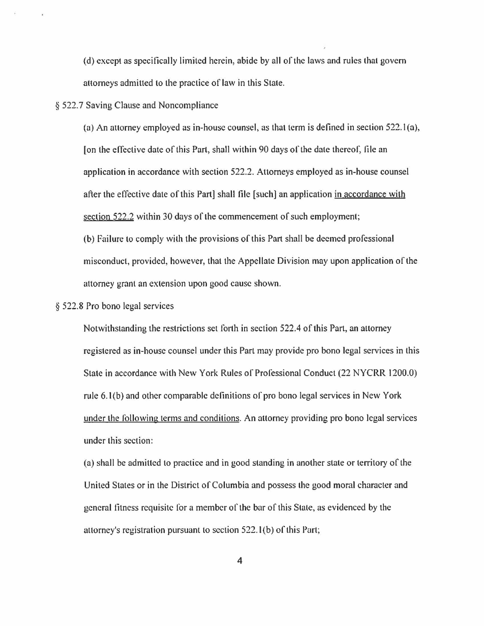(d) except as specifically limited herein, abide by all of the laws and rules that govern attorneys admitted to the practice of law in this State.

## § 522.7 Saving Clause and Noncompliance

(a) An attorney employed as in-house counsel, as that term is defined in section  $522.1(a)$ , [on the effective date of this Part, shall within 90 days of the date thereof: file an application in accordance with section 522.2. Attorneys employed as in-house counsel after the effective date of this Part] shall file [such] an application in accordance with section 522.2 within 30 days of the commencement of such employment;

(b) Failure to comply with the provisions of this Part shall be deemed professional misconduct, provided, however, that the Appellate Division may upon application of the attorney grant an extension upon good cause shown.

## § 522.8 Pro bono legal services

Notwithstanding the restrictions set forth in section 522.4 of this Part, an attorney registered as in-house counsel under this Part may provide pro bono legal services in this State in accordance with New York Rules of Professional Conduct (22 NYCRR 1200.0) rule 6. I(b) and other comparable definitions of pro bono legal services in New York under the following terms and conditions. An attorney providing pro bono legal services under this section:

(a) shall be admitted to practice and in good standing in another state or territory of the United States or in the District of Columbia and possess the good moral character and general fitness requisite for a member of the bar of this State, as evidenced by the attorney's registration pursuant to section 522. I (b) of this Part;